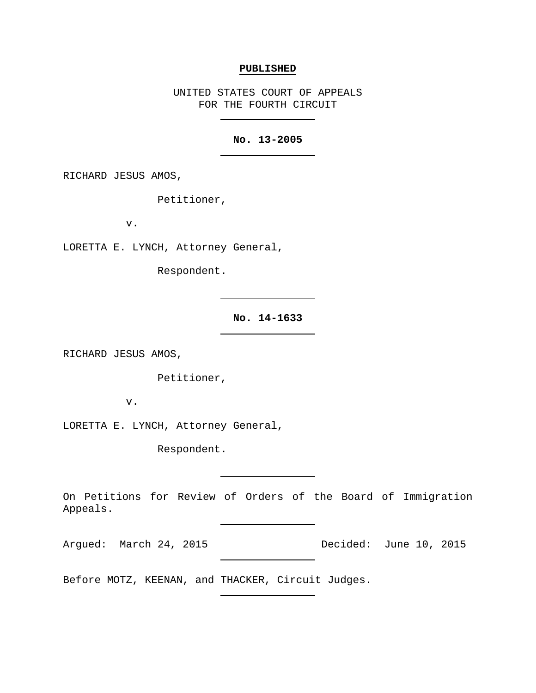#### **PUBLISHED**

UNITED STATES COURT OF APPEALS FOR THE FOURTH CIRCUIT

# **No. 13-2005**

RICHARD JESUS AMOS,

Petitioner,

v.

LORETTA E. LYNCH, Attorney General,

Respondent.

**No. 14-1633**

RICHARD JESUS AMOS,

Petitioner,

v.

LORETTA E. LYNCH, Attorney General,

Respondent.

On Petitions for Review of Orders of the Board of Immigration Appeals.

Argued: March 24, 2015 Decided: June 10, 2015

Before MOTZ, KEENAN, and THACKER, Circuit Judges.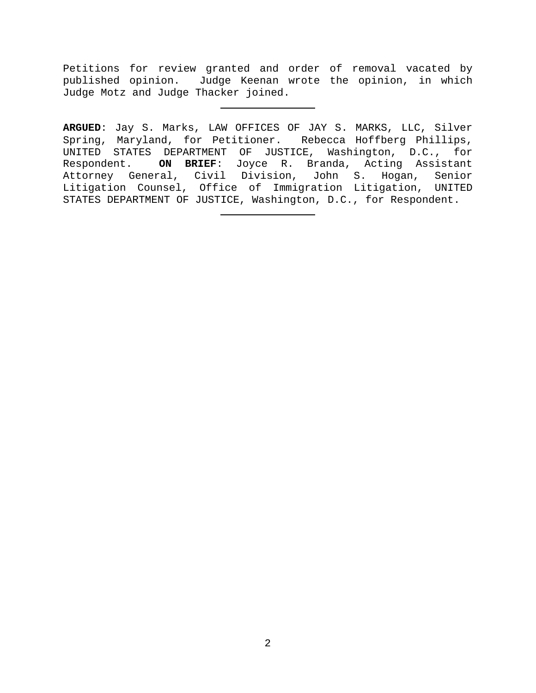Petitions for review granted and order of removal vacated by published opinion. Judge Keenan wrote the opinion, in which Judge Motz and Judge Thacker joined.

**ARGUED**: Jay S. Marks, LAW OFFICES OF JAY S. MARKS, LLC, Silver Spring, Maryland, for Petitioner. Rebecca Hoffberg Phillips, UNITED STATES DEPARTMENT OF JUSTICE, Washington, D.C., for Respondent. **ON BRIEF**: Joyce R. Branda, Acting Assistant Attorney General, Civil Division, John S. Hogan, Senior Litigation Counsel, Office of Immigration Litigation, UNITED STATES DEPARTMENT OF JUSTICE, Washington, D.C., for Respondent.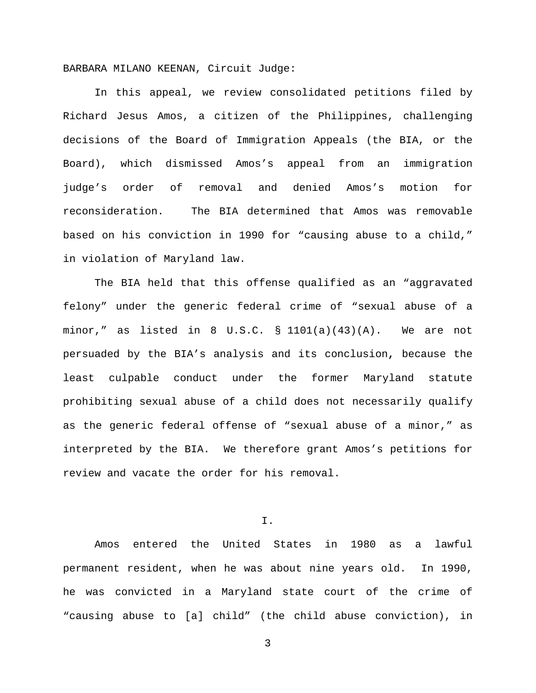BARBARA MILANO KEENAN, Circuit Judge:

In this appeal, we review consolidated petitions filed by Richard Jesus Amos, a citizen of the Philippines, challenging decisions of the Board of Immigration Appeals (the BIA, or the Board), which dismissed Amos's appeal from an immigration judge's order of removal and denied Amos's motion for reconsideration. The BIA determined that Amos was removable based on his conviction in 1990 for "causing abuse to a child," in violation of Maryland law.

The BIA held that this offense qualified as an "aggravated felony" under the generic federal crime of "sexual abuse of a minor," as listed in 8 U.S.C.  $\S$  1101(a)(43)(A). We are not persuaded by the BIA's analysis and its conclusion**,** because the least culpable conduct under the former Maryland statute prohibiting sexual abuse of a child does not necessarily qualify as the generic federal offense of "sexual abuse of a minor," as interpreted by the BIA. We therefore grant Amos's petitions for review and vacate the order for his removal.

I.

Amos entered the United States in 1980 as a lawful permanent resident, when he was about nine years old. In 1990, he was convicted in a Maryland state court of the crime of "causing abuse to [a] child" (the child abuse conviction), in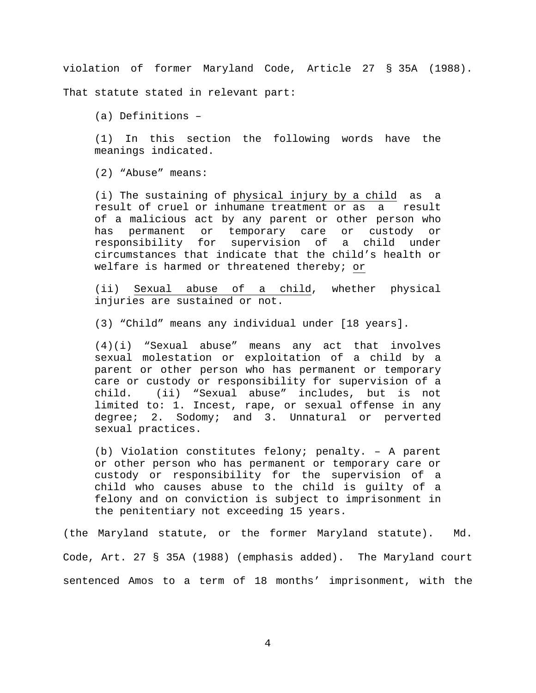violation of former Maryland Code, Article 27 § 35A (1988).

That statute stated in relevant part:

(a) Definitions –

(1) In this section the following words have the meanings indicated.

(2) "Abuse" means:

(i) The sustaining of physical injury by a child as a result of cruel or inhumane treatment or as a result of a malicious act by any parent or other person who has permanent or temporary care or custody or responsibility for supervision of a child under circumstances that indicate that the child's health or welfare is harmed or threatened thereby; or

(ii) Sexual abuse of a child, whether physical injuries are sustained or not.

(3) "Child" means any individual under [18 years].

(4)(i) "Sexual abuse" means any act that involves sexual molestation or exploitation of a child by a parent or other person who has permanent or temporary care or custody or responsibility for supervision of a child. (ii) "Sexual abuse" includes, but is not limited to: 1. Incest, rape, or sexual offense in any degree; 2. Sodomy; and 3. Unnatural or perverted sexual practices.

(b) Violation constitutes felony; penalty. – A parent or other person who has permanent or temporary care or custody or responsibility for the supervision of a child who causes abuse to the child is guilty of a felony and on conviction is subject to imprisonment in the penitentiary not exceeding 15 years.

(the Maryland statute, or the former Maryland statute). Md. Code, Art. 27 § 35A (1988) (emphasis added). The Maryland court sentenced Amos to a term of 18 months' imprisonment, with the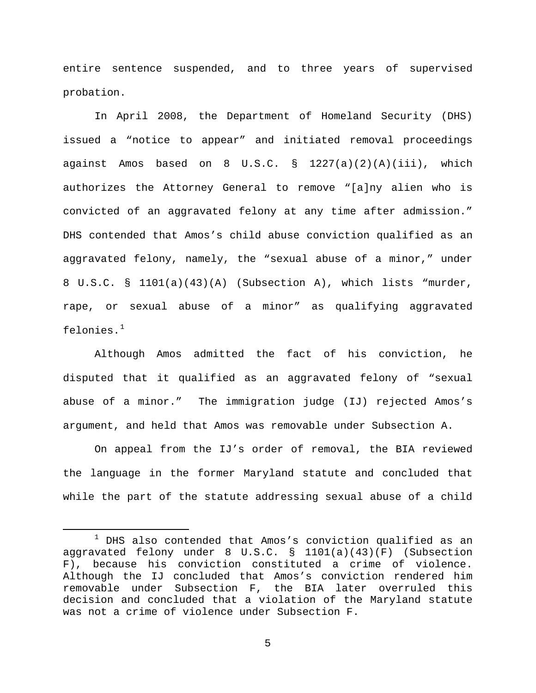entire sentence suspended, and to three years of supervised probation.

In April 2008, the Department of Homeland Security (DHS) issued a "notice to appear" and initiated removal proceedings against Amos based on 8 U.S.C. § 1227(a)(2)(A)(iii), which authorizes the Attorney General to remove "[a]ny alien who is convicted of an aggravated felony at any time after admission." DHS contended that Amos's child abuse conviction qualified as an aggravated felony, namely, the "sexual abuse of a minor," under 8 U.S.C. § 1101(a)(43)(A) (Subsection A), which lists "murder, rape, or sexual abuse of a minor" as qualifying aggravated felonies. $^{\rm 1}$  $^{\rm 1}$  $^{\rm 1}$ 

Although Amos admitted the fact of his conviction, he disputed that it qualified as an aggravated felony of "sexual abuse of a minor." The immigration judge (IJ) rejected Amos's argument, and held that Amos was removable under Subsection A.

On appeal from the IJ's order of removal, the BIA reviewed the language in the former Maryland statute and concluded that while the part of the statute addressing sexual abuse of a child

<span id="page-4-0"></span> $1$  DHS also contended that Amos's conviction qualified as an aggravated felony under 8 U.S.C. § 1101(a)(43)(F) (Subsection F), because his conviction constituted a crime of violence. Although the IJ concluded that Amos's conviction rendered him removable under Subsection F, the BIA later overruled this decision and concluded that a violation of the Maryland statute was not a crime of violence under Subsection F.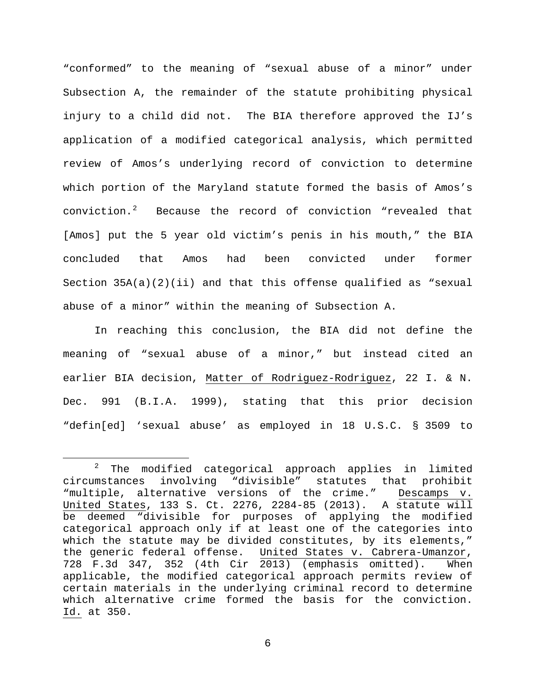"conformed" to the meaning of "sexual abuse of a minor" under Subsection A, the remainder of the statute prohibiting physical injury to a child did not. The BIA therefore approved the IJ's application of a modified categorical analysis, which permitted review of Amos's underlying record of conviction to determine which portion of the Maryland statute formed the basis of Amos's conviction.[2](#page-5-0) Because the record of conviction "revealed that [Amos] put the 5 year old victim's penis in his mouth," the BIA concluded that Amos had been convicted under former Section  $35A(a)(2)(ii)$  and that this offense qualified as "sexual abuse of a minor" within the meaning of Subsection A.

In reaching this conclusion, the BIA did not define the meaning of "sexual abuse of a minor," but instead cited an earlier BIA decision, Matter of Rodriguez-Rodriguez, 22 I. & N. Dec. 991 (B.I.A. 1999), stating that this prior decision "defin[ed] 'sexual abuse' as employed in 18 U.S.C. § 3509 to

<span id="page-5-0"></span><sup>&</sup>lt;sup>2</sup> The modified categorical approach applies in limited<br>circumstances involving "divisible" statutes that prohibit involving "divisible" statutes that "multiple, alternative versions of the crime." Descamps v. United States, 133 S. Ct. 2276, 2284-85 (2013). A statute will be deemed "divisible for purposes of applying the modified categorical approach only if at least one of the categories into which the statute may be divided constitutes, by its elements,"<br>the generic federal offense. United States v. Cabrera-Umanzor, United States v. Cabrera-Umanzor, 728 F.3d 347, 352 (4th Cir 2013) (emphasis omitted). When applicable, the modified categorical approach permits review of certain materials in the underlying criminal record to determine which alternative crime formed the basis for the conviction. Id. at 350.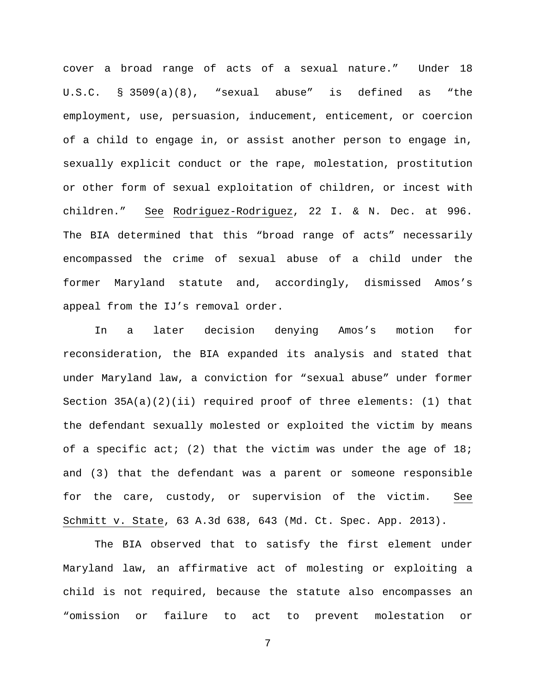cover a broad range of acts of a sexual nature." Under 18 U.S.C. § 3509(a)(8), "sexual abuse" is defined as "the employment, use, persuasion, inducement, enticement, or coercion of a child to engage in, or assist another person to engage in, sexually explicit conduct or the rape, molestation, prostitution or other form of sexual exploitation of children, or incest with children." See Rodriguez-Rodriguez, 22 I. & N. Dec. at 996. The BIA determined that this "broad range of acts" necessarily encompassed the crime of sexual abuse of a child under the former Maryland statute and, accordingly, dismissed Amos's appeal from the IJ's removal order.

In a later decision denying Amos's motion for reconsideration, the BIA expanded its analysis and stated that under Maryland law, a conviction for "sexual abuse" under former Section 35A(a)(2)(ii) required proof of three elements: (1) that the defendant sexually molested or exploited the victim by means of a specific act; (2) that the victim was under the age of  $18$ ; and (3) that the defendant was a parent or someone responsible for the care, custody, or supervision of the victim. See Schmitt v. State, 63 A.3d 638, 643 (Md. Ct. Spec. App. 2013).

The BIA observed that to satisfy the first element under Maryland law, an affirmative act of molesting or exploiting a child is not required, because the statute also encompasses an "omission or failure to act to prevent molestation or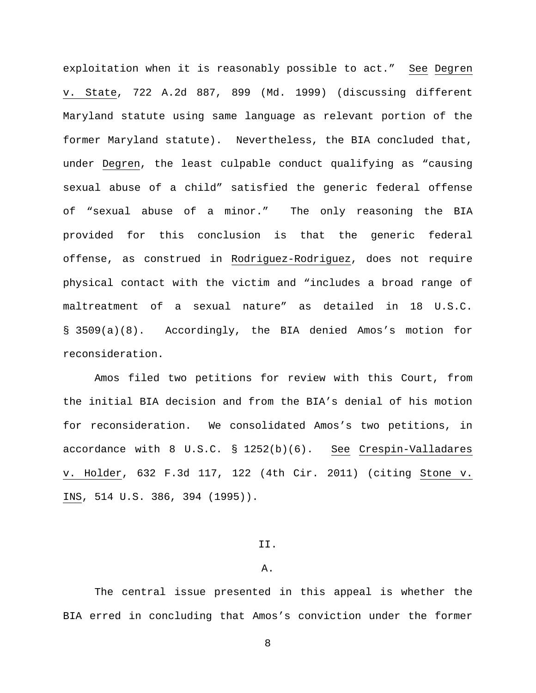exploitation when it is reasonably possible to act." See Degren v. State, 722 A.2d 887, 899 (Md. 1999) (discussing different Maryland statute using same language as relevant portion of the former Maryland statute). Nevertheless, the BIA concluded that, under Degren, the least culpable conduct qualifying as "causing sexual abuse of a child" satisfied the generic federal offense of "sexual abuse of a minor." The only reasoning the BIA provided for this conclusion is that the generic federal offense, as construed in Rodriguez-Rodriguez, does not require physical contact with the victim and "includes a broad range of maltreatment of a sexual nature" as detailed in 18 U.S.C. § 3509(a)(8).Accordingly, the BIA denied Amos's motion for reconsideration.

Amos filed two petitions for review with this Court, from the initial BIA decision and from the BIA's denial of his motion for reconsideration. We consolidated Amos's two petitions, in accordance with 8 U.S.C. § 1252(b)(6). See Crespin-Valladares v. Holder, 632 F.3d 117, 122 (4th Cir. 2011) (citing Stone v. INS, 514 U.S. 386, 394 (1995)).

#### II.

#### A.

The central issue presented in this appeal is whether the BIA erred in concluding that Amos's conviction under the former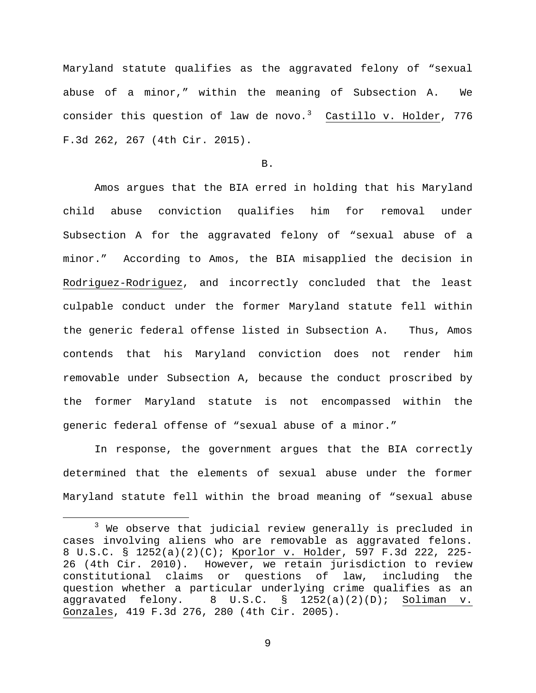Maryland statute qualifies as the aggravated felony of "sexual abuse of a minor," within the meaning of Subsection A. We consider this question of law de novo.<sup>[3](#page-8-0)</sup> Castillo v. Holder, 776 F.3d 262, 267 (4th Cir. 2015).

B.

Amos argues that the BIA erred in holding that his Maryland child abuse conviction qualifies him for removal under Subsection A for the aggravated felony of "sexual abuse of a minor." According to Amos, the BIA misapplied the decision in Rodriguez-Rodriguez, and incorrectly concluded that the least culpable conduct under the former Maryland statute fell within the generic federal offense listed in Subsection A. Thus, Amos contends that his Maryland conviction does not render him removable under Subsection A, because the conduct proscribed by the former Maryland statute is not encompassed within the generic federal offense of "sexual abuse of a minor."

In response, the government argues that the BIA correctly determined that the elements of sexual abuse under the former Maryland statute fell within the broad meaning of "sexual abuse

<span id="page-8-0"></span> $3$  We observe that judicial review generally is precluded in cases involving aliens who are removable as aggravated felons. 8 U.S.C. § 1252(a)(2)(C); Kporlor v. Holder, 597 F.3d 222, 225- 26 (4th Cir. 2010). However, we retain jurisdiction to review<br>constitutional claims or questions of law, including the constitutional claims or questions of law, question whether a particular underlying crime qualifies as an<br>aggravated felony. 8 U.S.C. § 1252(a)(2)(D); Soliman v.  $\S$  1252(a)(2)(D); Soliman v. Gonzales, 419 F.3d 276, 280 (4th Cir. 2005).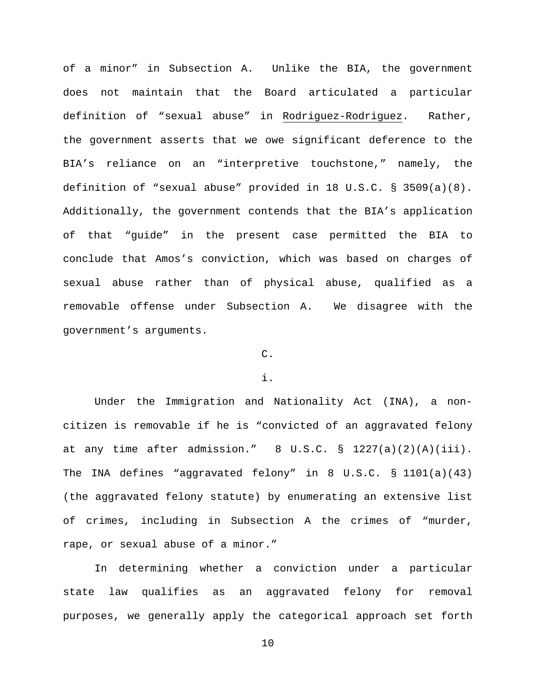of a minor" in Subsection A.Unlike the BIA, the government does not maintain that the Board articulated a particular definition of "sexual abuse" in Rodriguez-Rodriguez. Rather, the government asserts that we owe significant deference to the BIA's reliance on an "interpretive touchstone," namely, the definition of "sexual abuse" provided in 18 U.S.C. § 3509(a)(8). Additionally, the government contends that the BIA's application of that "guide" in the present case permitted the BIA to conclude that Amos's conviction, which was based on charges of sexual abuse rather than of physical abuse, qualified as a removable offense under Subsection A. We disagree with the government's arguments.

## C.

## i.

Under the Immigration and Nationality Act (INA), a noncitizen is removable if he is "convicted of an aggravated felony at any time after admission."  $8 \text{ U.S.C.} \text{ s} 1227(a)(2)(A)(iii).$ The INA defines "aggravated felony" in 8 U.S.C. § 1101(a)(43) (the aggravated felony statute) by enumerating an extensive list of crimes, including in Subsection A the crimes of "murder, rape, or sexual abuse of a minor."

In determining whether a conviction under a particular state law qualifies as an aggravated felony for removal purposes, we generally apply the categorical approach set forth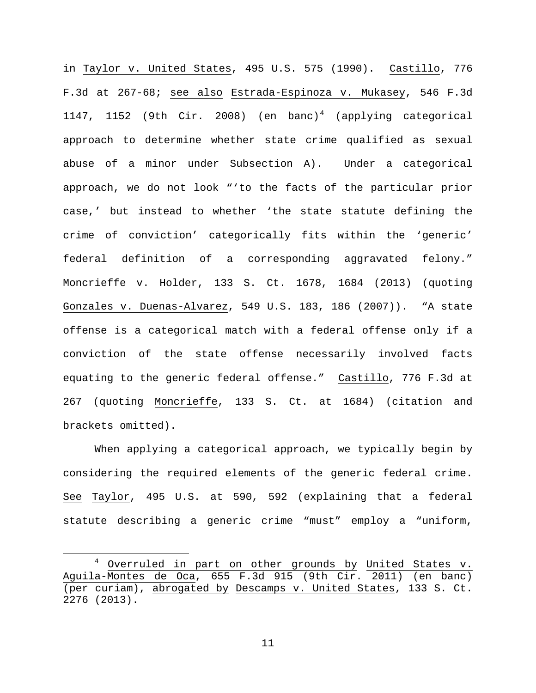in Taylor v. United States, 495 U.S. 575 (1990). Castillo, 776 F.3d at 267-68; see also Estrada-Espinoza v. Mukasey, 546 F.3d 11[4](#page-10-0)7, 1152 (9th Cir. 2008) (en banc)<sup>4</sup> (applying categorical approach to determine whether state crime qualified as sexual abuse of a minor under Subsection A). Under a categorical approach, we do not look "'to the facts of the particular prior case,' but instead to whether 'the state statute defining the crime of conviction' categorically fits within the 'generic' federal definition of a corresponding aggravated felony." Moncrieffe v. Holder, 133 S. Ct. 1678, 1684 (2013) (quoting Gonzales v. Duenas-Alvarez, 549 U.S. 183, 186 (2007)). "A state offense is a categorical match with a federal offense only if a conviction of the state offense necessarily involved facts equating to the generic federal offense." Castillo, 776 F.3d at 267 (quoting Moncrieffe, 133 S. Ct. at 1684) (citation and brackets omitted).

When applying a categorical approach, we typically begin by considering the required elements of the generic federal crime. See Taylor, 495 U.S. at 590, 592 (explaining that a federal statute describing a generic crime "must" employ a "uniform,

<span id="page-10-0"></span><sup>&</sup>lt;sup>4</sup> Overruled in part on other grounds by United States v. Aguila-Montes de Oca, 655 F.3d 915 (9th Cir. 2011) (en banc) (per curiam), abrogated by Descamps v. United States, 133 S. Ct. 2276 (2013).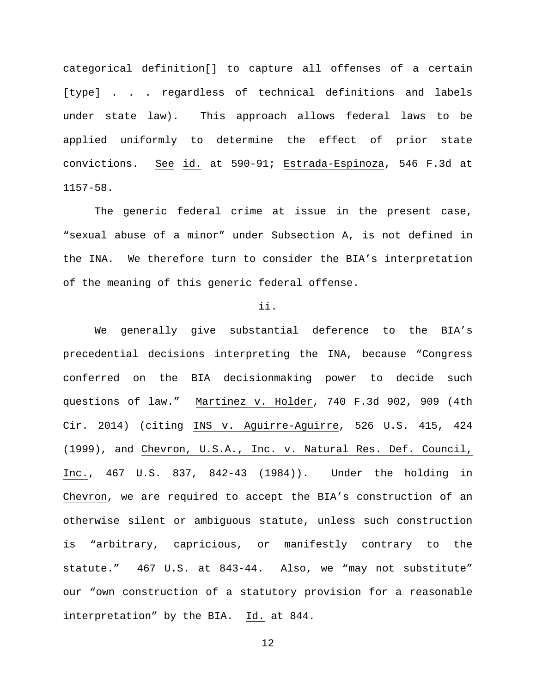categorical definition[] to capture all offenses of a certain [type] . . . regardless of technical definitions and labels under state law). This approach allows federal laws to be applied uniformly to determine the effect of prior state convictions. See id. at 590-91; Estrada-Espinoza, 546 F.3d at 1157-58.

The generic federal crime at issue in the present case, "sexual abuse of a minor" under Subsection A, is not defined in the INA. We therefore turn to consider the BIA's interpretation of the meaning of this generic federal offense.

### ii.

We generally give substantial deference to the BIA's precedential decisions interpreting the INA, because "Congress conferred on the BIA decisionmaking power to decide such questions of law." Martinez v. Holder, 740 F.3d 902, 909 (4th Cir. 2014) (citing INS v. Aguirre-Aguirre, 526 U.S. 415, 424 (1999), and Chevron, U.S.A., Inc. v. Natural Res. Def. Council, Inc., 467 U.S. 837, 842-43 (1984)). Under the holding in Chevron, we are required to accept the BIA's construction of an otherwise silent or ambiguous statute, unless such construction is "arbitrary, capricious, or manifestly contrary to the statute." 467 U.S. at 843-44. Also, we "may not substitute" our "own construction of a statutory provision for a reasonable interpretation" by the BIA. Id. at 844.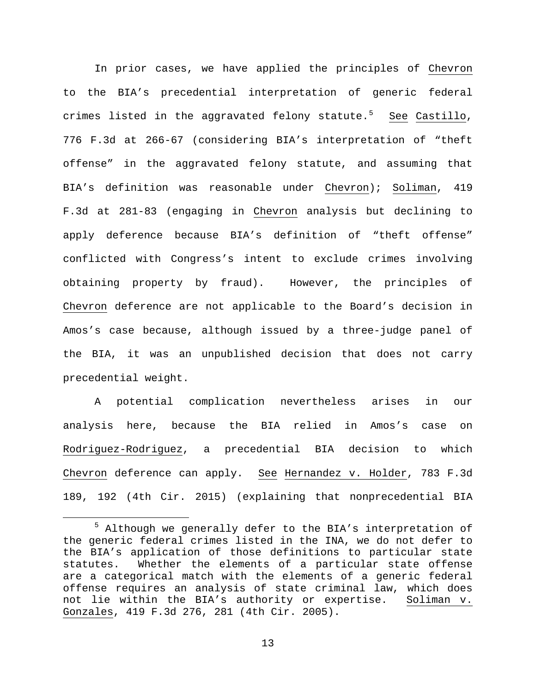In prior cases, we have applied the principles of Chevron to the BIA's precedential interpretation of generic federal crimes listed in the aggravated felony statute.<sup>[5](#page-12-0)</sup> <u>See</u> Castillo, 776 F.3d at 266-67 (considering BIA's interpretation of "theft offense" in the aggravated felony statute, and assuming that BIA's definition was reasonable under Chevron); Soliman, 419 F.3d at 281-83 (engaging in Chevron analysis but declining to apply deference because BIA's definition of "theft offense" conflicted with Congress's intent to exclude crimes involving obtaining property by fraud). However, the principles of Chevron deference are not applicable to the Board's decision in Amos's case because, although issued by a three-judge panel of the BIA, it was an unpublished decision that does not carry precedential weight.

A potential complication nevertheless arises in our analysis here, because the BIA relied in Amos's case on Rodriguez-Rodriguez, a precedential BIA decision to which Chevron deference can apply. See Hernandez v. Holder, 783 F.3d 189, 192 (4th Cir. 2015) (explaining that nonprecedential BIA

<span id="page-12-0"></span> <sup>5</sup> Although we generally defer to the BIA's interpretation of the generic federal crimes listed in the INA, we do not defer to the BIA's application of those definitions to particular state statutes. Whether the elements of a particular state offense are a categorical match with the elements of a generic federal offense requires an analysis of state criminal law, which does not lie within the BIA's authority or expertise. Soliman v. Gonzales, 419 F.3d 276, 281 (4th Cir. 2005).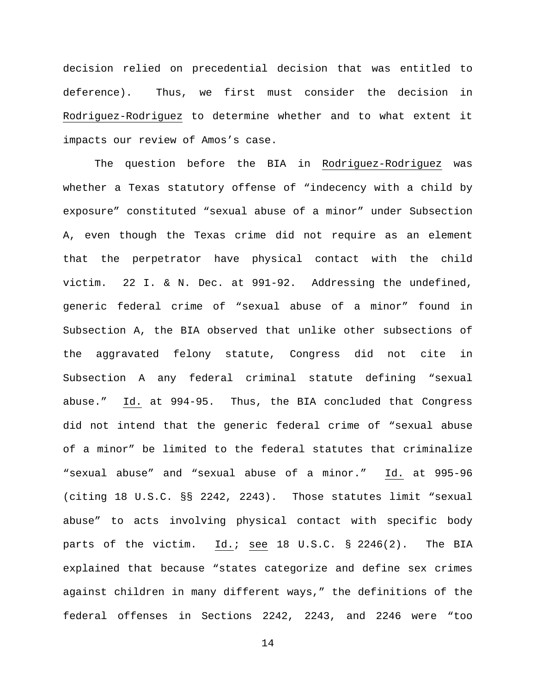decision relied on precedential decision that was entitled to deference). Thus, we first must consider the decision in Rodriguez-Rodriguez to determine whether and to what extent it impacts our review of Amos's case.

The question before the BIA in Rodriguez-Rodriguez was whether a Texas statutory offense of "indecency with a child by exposure" constituted "sexual abuse of a minor" under Subsection A, even though the Texas crime did not require as an element that the perpetrator have physical contact with the child victim. 22 I. & N. Dec. at 991-92. Addressing the undefined, generic federal crime of "sexual abuse of a minor" found in Subsection A, the BIA observed that unlike other subsections of the aggravated felony statute, Congress did not cite in Subsection A any federal criminal statute defining "sexual abuse." Id. at 994-95. Thus, the BIA concluded that Congress did not intend that the generic federal crime of "sexual abuse of a minor" be limited to the federal statutes that criminalize "sexual abuse" and "sexual abuse of a minor." Id. at 995-96 (citing 18 U.S.C. §§ 2242, 2243). Those statutes limit "sexual abuse" to acts involving physical contact with specific body parts of the victim. Id.; see 18 U.S.C. § 2246(2). The BIA explained that because "states categorize and define sex crimes against children in many different ways," the definitions of the federal offenses in Sections 2242, 2243, and 2246 were "too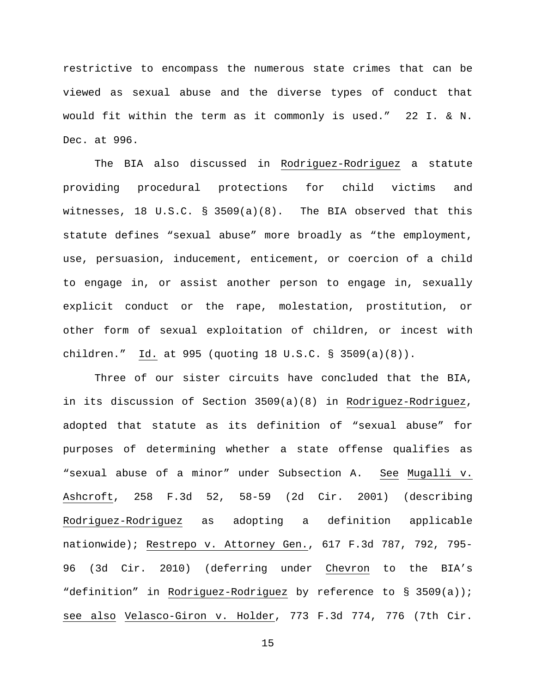restrictive to encompass the numerous state crimes that can be viewed as sexual abuse and the diverse types of conduct that would fit within the term as it commonly is used." 22 I. & N. Dec. at 996.

The BIA also discussed in Rodriguez-Rodriguez a statute providing procedural protections for child victims and witnesses, 18 U.S.C. § 3509(a)(8). The BIA observed that this statute defines "sexual abuse" more broadly as "the employment, use, persuasion, inducement, enticement, or coercion of a child to engage in, or assist another person to engage in, sexually explicit conduct or the rape, molestation, prostitution, or other form of sexual exploitation of children, or incest with children." Id. at 995 (quoting 18 U.S.C. § 3509(a)(8)).

Three of our sister circuits have concluded that the BIA, in its discussion of Section 3509(a)(8) in Rodriguez-Rodriguez, adopted that statute as its definition of "sexual abuse" for purposes of determining whether a state offense qualifies as "sexual abuse of a minor" under Subsection A. See Mugalli v. Ashcroft, 258 F.3d 52, 58-59 (2d Cir. 2001) (describing Rodriguez-Rodriguez as adopting a definition applicable nationwide); Restrepo v. Attorney Gen., 617 F.3d 787, 792, 795- 96 (3d Cir. 2010) (deferring under Chevron to the BIA's "definition" in Rodriguez-Rodriguez by reference to § 3509(a)); see also Velasco-Giron v. Holder, 773 F.3d 774, 776 (7th Cir.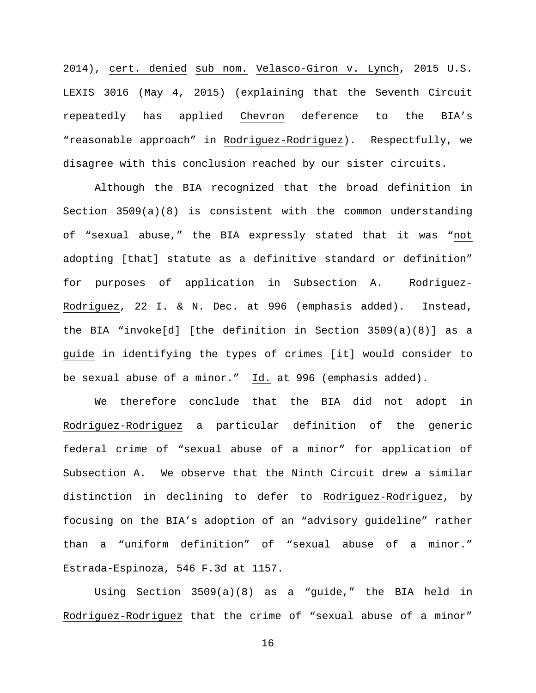2014), cert. denied sub nom. Velasco-Giron v. Lynch, 2015 U.S. LEXIS 3016 (May 4, 2015) (explaining that the Seventh Circuit repeatedly has applied Chevron deference to the BIA's "reasonable approach" in Rodriguez-Rodriguez). Respectfully, we disagree with this conclusion reached by our sister circuits.

Although the BIA recognized that the broad definition in Section 3509(a)(8) is consistent with the common understanding of "sexual abuse," the BIA expressly stated that it was "not adopting [that] statute as a definitive standard or definition" for purposes of application in Subsection A. Rodriguez-Rodriguez, 22 I. & N. Dec. at 996 (emphasis added). Instead, the BIA "invoke[d] [the definition in Section 3509(a)(8)] as a guide in identifying the types of crimes [it] would consider to be sexual abuse of a minor." Id. at 996 (emphasis added).

We therefore conclude that the BIA did not adopt in Rodriguez-Rodriguez a particular definition of the generic federal crime of "sexual abuse of a minor" for application of Subsection A. We observe that the Ninth Circuit drew a similar distinction in declining to defer to Rodriguez-Rodriguez, by focusing on the BIA's adoption of an "advisory guideline" rather than a "uniform definition" of "sexual abuse of a minor." Estrada-Espinoza, 546 F.3d at 1157.

Using Section 3509(a)(8) as a "guide," the BIA held in Rodriguez-Rodriguez that the crime of "sexual abuse of a minor"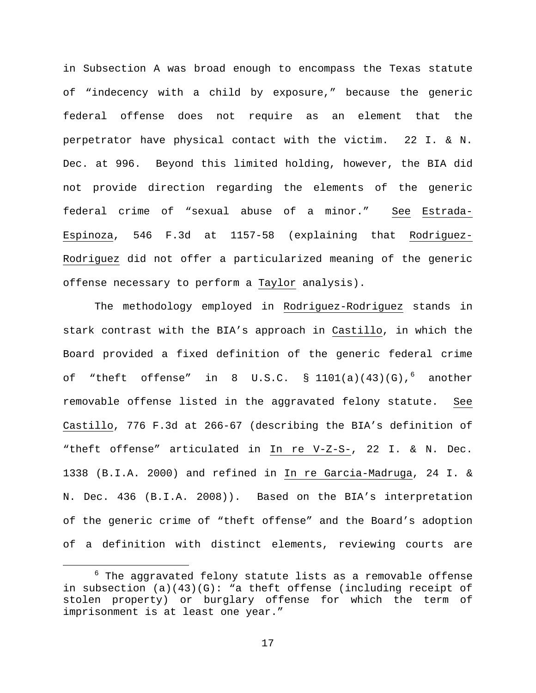in Subsection A was broad enough to encompass the Texas statute of "indecency with a child by exposure," because the generic federal offense does not require as an element that the perpetrator have physical contact with the victim. 22 I. & N. Dec. at 996.Beyond this limited holding, however, the BIA did not provide direction regarding the elements of the generic federal crime of "sexual abuse of a minor." See Estrada-Espinoza, 546 F.3d at 1157-58 (explaining that Rodriguez-Rodriguez did not offer a particularized meaning of the generic offense necessary to perform a Taylor analysis).

The methodology employed in Rodriguez-Rodriguez stands in stark contrast with the BIA's approach in Castillo, in which the Board provided a fixed definition of the generic federal crime of "theft offense" in 8 U.S.C.  $\S$  1101(a)(43)(G),  $6$  another removable offense listed in the aggravated felony statute. See Castillo, 776 F.3d at 266-67 (describing the BIA's definition of "theft offense" articulated in In re V-Z-S-, 22 I. & N. Dec. 1338 (B.I.A. 2000) and refined in In re Garcia-Madruga, 24 I. & N. Dec. 436 (B.I.A. 2008)). Based on the BIA's interpretation of the generic crime of "theft offense" and the Board's adoption of a definition with distinct elements, reviewing courts are

<span id="page-16-0"></span> $6$  The aggravated felony statute lists as a removable offense in subsection  $(a)(43)(G)$ : "a theft offense (including receipt of stolen property) or burglary offense for which the term of imprisonment is at least one year."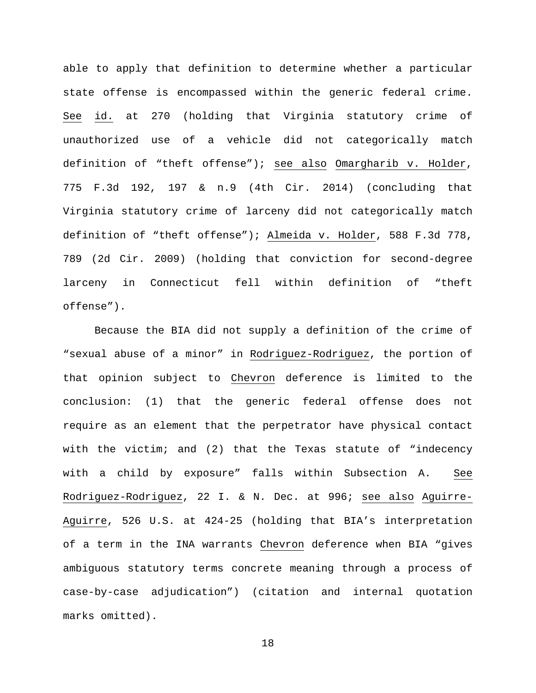able to apply that definition to determine whether a particular state offense is encompassed within the generic federal crime. See id. at 270 (holding that Virginia statutory crime of unauthorized use of a vehicle did not categorically match definition of "theft offense"); see also Omargharib v. Holder, 775 F.3d 192, 197 & n.9 (4th Cir. 2014) (concluding that Virginia statutory crime of larceny did not categorically match definition of "theft offense"); Almeida v. Holder, 588 F.3d 778, 789 (2d Cir. 2009) (holding that conviction for second-degree larceny in Connecticut fell within definition of "theft offense").

Because the BIA did not supply a definition of the crime of "sexual abuse of a minor" in Rodriguez-Rodriguez, the portion of that opinion subject to Chevron deference is limited to the conclusion: (1) that the generic federal offense does not require as an element that the perpetrator have physical contact with the victim; and (2) that the Texas statute of "indecency with a child by exposure" falls within Subsection A. See Rodriguez-Rodriguez, 22 I. & N. Dec. at 996; see also Aguirre-Aguirre, 526 U.S. at 424-25 (holding that BIA's interpretation of a term in the INA warrants Chevron deference when BIA "gives ambiguous statutory terms concrete meaning through a process of case-by-case adjudication") (citation and internal quotation marks omitted).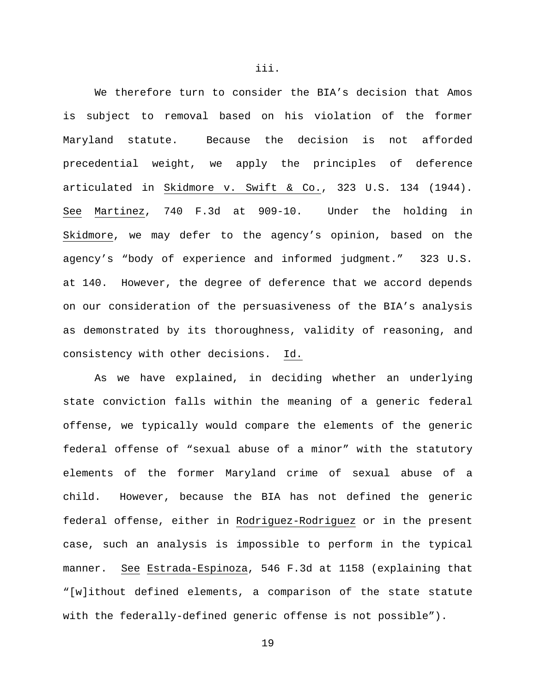We therefore turn to consider the BIA's decision that Amos is subject to removal based on his violation of the former Maryland statute. Because the decision is not afforded precedential weight, we apply the principles of deference articulated in Skidmore v. Swift & Co., 323 U.S. 134 (1944). See Martinez, 740 F.3d at 909-10. Under the holding in Skidmore, we may defer to the agency's opinion, based on the agency's "body of experience and informed judgment." 323 U.S. at 140.However, the degree of deference that we accord depends on our consideration of the persuasiveness of the BIA's analysis as demonstrated by its thoroughness, validity of reasoning, and consistency with other decisions. Id.

As we have explained, in deciding whether an underlying state conviction falls within the meaning of a generic federal offense, we typically would compare the elements of the generic federal offense of "sexual abuse of a minor" with the statutory elements of the former Maryland crime of sexual abuse of a child. However, because the BIA has not defined the generic federal offense, either in Rodriguez-Rodriguez or in the present case, such an analysis is impossible to perform in the typical manner. See Estrada-Espinoza, 546 F.3d at 1158 (explaining that "[w]ithout defined elements, a comparison of the state statute with the federally-defined generic offense is not possible").

iii.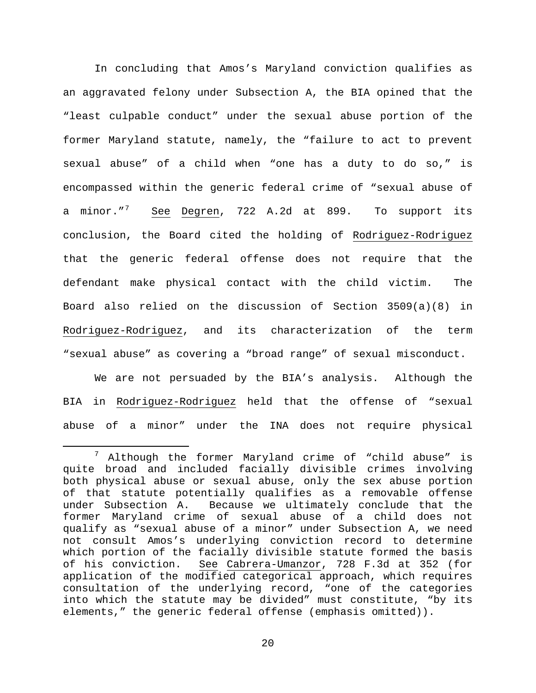In concluding that Amos's Maryland conviction qualifies as an aggravated felony under Subsection A, the BIA opined that the "least culpable conduct" under the sexual abuse portion of the former Maryland statute, namely, the "failure to act to prevent sexual abuse" of a child when "one has a duty to do so," is encompassed within the generic federal crime of "sexual abuse of a minor."<sup>[7](#page-19-0)</sup> See Degren, 722 A.2d at 899. To support its conclusion, the Board cited the holding of Rodriguez-Rodriguez that the generic federal offense does not require that the defendant make physical contact with the child victim. The Board also relied on the discussion of Section 3509(a)(8) in Rodriguez-Rodriguez, and its characterization of the term "sexual abuse" as covering a "broad range" of sexual misconduct.

We are not persuaded by the BIA's analysis. Although the BIA in Rodriguez-Rodriguez held that the offense of "sexual abuse of a minor" under the INA does not require physical

<span id="page-19-0"></span> $7$  Although the former Maryland crime of "child abuse" is quite broad and included facially divisible crimes involving both physical abuse or sexual abuse, only the sex abuse portion of that statute potentially qualifies as a removable offense under Subsection A. Because we ultimately conclude that the former Maryland crime of sexual abuse of a child does not qualify as "sexual abuse of a minor" under Subsection A, we need not consult Amos's underlying conviction record to determine which portion of the facially divisible statute formed the basis<br>of his conviction. See Cabrera-Umanzor, 728 F.3d at 352 (for See Cabrera-Umanzor, 728 F.3d at 352 (for application of the modified categorical approach, which requires consultation of the underlying record, "one of the categories into which the statute may be divided" must constitute, "by its elements," the generic federal offense (emphasis omitted)).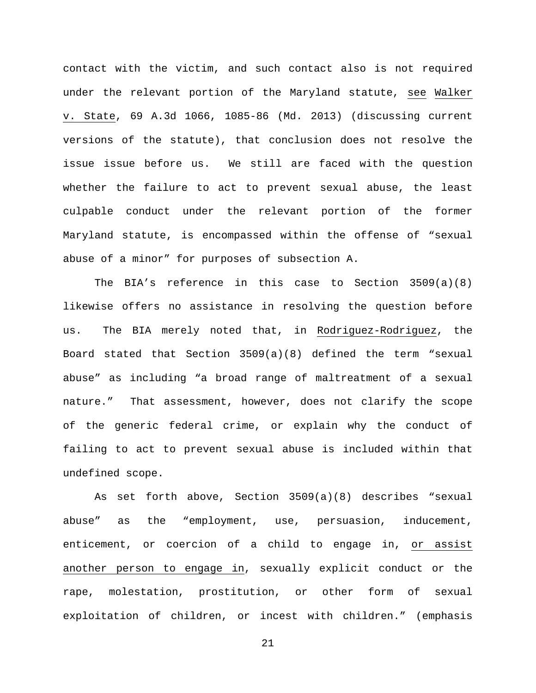contact with the victim, and such contact also is not required under the relevant portion of the Maryland statute, see Walker v. State, 69 A.3d 1066, 1085-86 (Md. 2013) (discussing current versions of the statute), that conclusion does not resolve the issue issue before us. We still are faced with the question whether the failure to act to prevent sexual abuse, the least culpable conduct under the relevant portion of the former Maryland statute, is encompassed within the offense of "sexual abuse of a minor" for purposes of subsection A.

The BIA's reference in this case to Section 3509(a)(8) likewise offers no assistance in resolving the question before us. The BIA merely noted that, in Rodriguez-Rodriguez, the Board stated that Section 3509(a)(8) defined the term "sexual abuse" as including "a broad range of maltreatment of a sexual nature." That assessment, however, does not clarify the scope of the generic federal crime, or explain why the conduct of failing to act to prevent sexual abuse is included within that undefined scope.

As set forth above, Section 3509(a)(8) describes "sexual abuse" as the "employment, use, persuasion, inducement, enticement, or coercion of a child to engage in, or assist another person to engage in, sexually explicit conduct or the rape, molestation, prostitution, or other form of sexual exploitation of children, or incest with children." (emphasis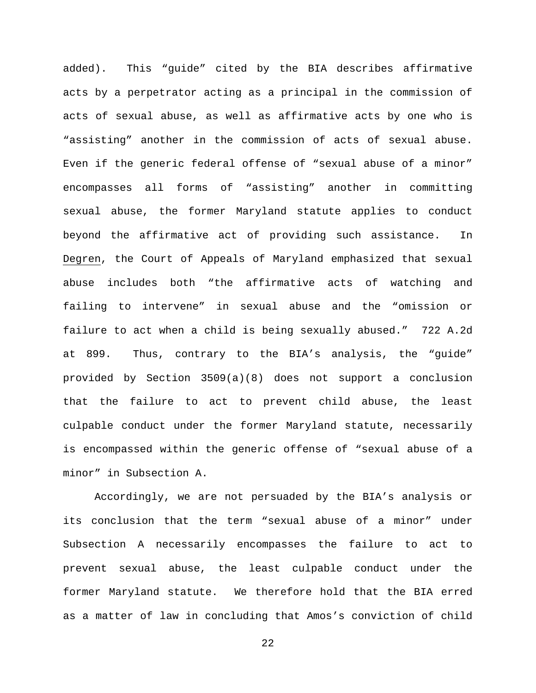added). This "guide" cited by the BIA describes affirmative acts by a perpetrator acting as a principal in the commission of acts of sexual abuse, as well as affirmative acts by one who is "assisting" another in the commission of acts of sexual abuse. Even if the generic federal offense of "sexual abuse of a minor" encompasses all forms of "assisting" another in committing sexual abuse, the former Maryland statute applies to conduct beyond the affirmative act of providing such assistance. In Degren, the Court of Appeals of Maryland emphasized that sexual abuse includes both "the affirmative acts of watching and failing to intervene" in sexual abuse and the "omission or failure to act when a child is being sexually abused." 722 A.2d at 899. Thus, contrary to the BIA's analysis, the "guide" provided by Section 3509(a)(8) does not support a conclusion that the failure to act to prevent child abuse, the least culpable conduct under the former Maryland statute, necessarily is encompassed within the generic offense of "sexual abuse of a minor" in Subsection A.

Accordingly, we are not persuaded by the BIA's analysis or its conclusion that the term "sexual abuse of a minor" under Subsection A necessarily encompasses the failure to act to prevent sexual abuse, the least culpable conduct under the former Maryland statute. We therefore hold that the BIA erred as a matter of law in concluding that Amos's conviction of child